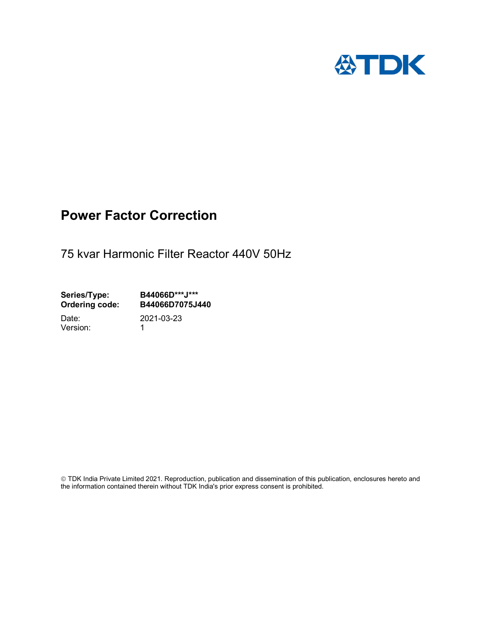

## Power Factor Correction

75 kvar Harmonic Filter Reactor 440V 50Hz

Series/Type: B44066D\*\*\*J\*\*\*<br>Ordering code: B44066D7075J4 B44066D7075J440 Date: 2021-03-23

Version: 1

 TDK India Private Limited 2021. Reproduction, publication and dissemination of this publication, enclosures hereto and the information contained therein without TDK India's prior express consent is prohibited.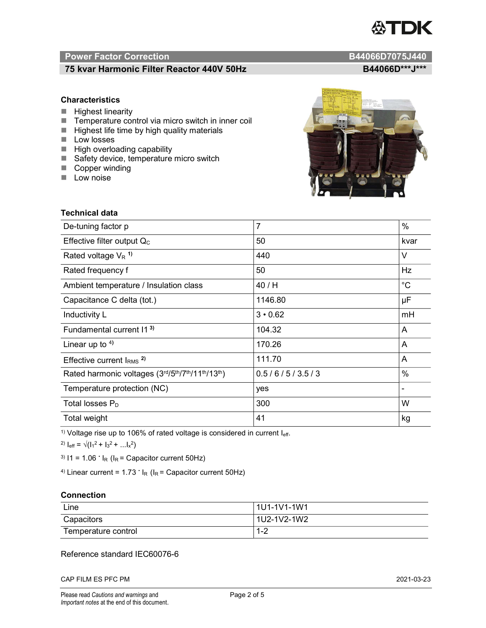# TDK

### Power Factor Correction and Content of the Content of the B44066D7075J440

#### 75 kvar Harmonic Filter Reactor 440V 50Hz<br>B44066D\*\*\*J\*\*\*

#### **Characteristics**

- $\blacksquare$  Highest linearity
- Temperature control via micro switch in inner coil
- $\blacksquare$  Highest life time by high quality materials
- **Low** losses
- $\blacksquare$  High overloading capability
- Safety device, temperature micro switch
- Copper winding
- **Low noise**

| <b>Technical data</b>                           |                |             |
|-------------------------------------------------|----------------|-------------|
| De-tuning factor p                              | $\overline{7}$ | $\%$        |
| Effective filter output $Q_C$                   | 50             | kvar        |
| Rated voltage $V_R$ <sup>1)</sup>               | 440            | V           |
| Rated frequency f                               | 50             | Hz          |
| Ambient temperature / Insulation class          | 40 / H         | $^{\circ}C$ |
| Capacitance C delta (tot.)                      | 1146.80        | μF          |
| Inductivity L                                   | $3 \cdot 0.62$ | mH          |
| Fundamental current 11 <sup>3)</sup>            | 104.32         | A           |
| Linear up to $4$ )                              | 170.26         | A           |
| Effective current $IRMS$ <sup>2)</sup>          | 111.70         | A           |
| Rated harmonic voltages (3rd/5th/7th/11th/13th) | 0.5/6/5/3.5/3  | $\%$        |
| Temperature protection (NC)                     | yes            |             |
| Total losses $P_D$                              | 300            | W           |
| Total weight                                    | 41             | kg          |

<sup>1)</sup> Voltage rise up to 106% of rated voltage is considered in current  $I_{\text{eff}}$ .

<sup>2)</sup>  $I_{eff} = \sqrt{(I_1^2 + I_3^2 + ... I_x^2)}$ 

<sup>3)</sup>  $11 = 1.06$   $\cdot$   $I_R$  ( $I_R$  = Capacitor current 50Hz)

<sup>4)</sup> Linear current =  $1.73$   $\cdot$  I<sub>R</sub> (I<sub>R</sub> = Capacitor current 50Hz)

#### **Connection**

| Line                | 1U1-1V1-1W1   |
|---------------------|---------------|
| Capacitors          | l 1U2-1V2-1W2 |
| Temperature control | 1 O<br>ے- ا   |

#### Reference standard IEC60076-6

CAP FILM ES PFC PM 2021-03-23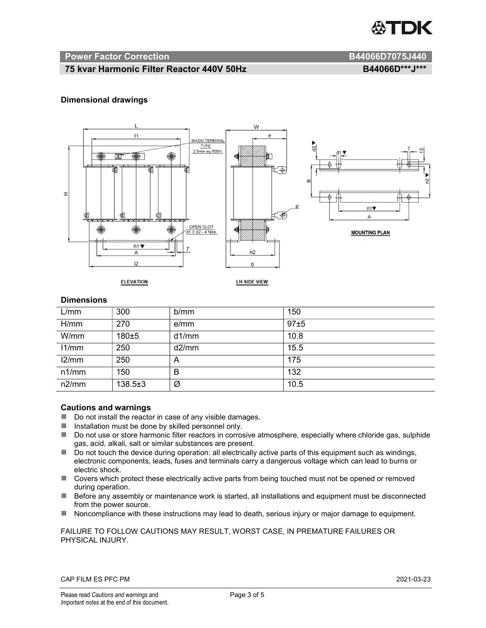

#### Power Factor Correction and B44066D7075J440

#### 75 kvar Harmonic Filter Reactor 440V 50Hz B44066D\*\*\*J\*\*\*

#### Dimensional drawings



#### **Dimensions**

| L/mm  | 300           | b/mm  | 150  |
|-------|---------------|-------|------|
| H/mm  | 270           | e/mm  | 97±5 |
| W/mm  | 180±5         | d1/mm | 10.8 |
| 11/mm | 250           | d2/mm | 15.5 |
| 12/mm | 250           | A     | 175  |
| n1/mm | 150           | B     | 132  |
| n2/mm | $138.5 \pm 3$ | Ø     | 10.5 |

#### Cautions and warnings

- Do not install the reactor in case of any visible damages.
- $\blacksquare$  Installation must be done by skilled personnel only.
- Do not use or store harmonic filter reactors in corrosive atmosphere, especially where chloride gas, sulphide gas, acid, alkali, salt or similar substances are present.
- $\Box$  Do not touch the device during operation: all electrically active parts of this equipment such as windings, electronic components, leads, fuses and terminals carry a dangerous voltage which can lead to burns or electric shock.
- Covers which protect these electrically active parts from being touched must not be opened or removed during operation.
- Before any assembly or maintenance work is started, all installations and equipment must be disconnected from the power source.
- Noncompliance with these instructions may lead to death, serious injury or major damage to equipment.

#### FAILURE TO FOLLOW CAUTIONS MAY RESULT, WORST CASE, IN PREMATURE FAILURES OR PHYSICAL INJURY.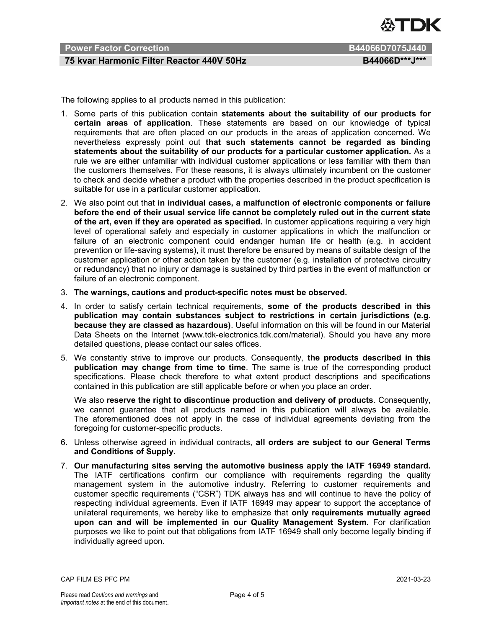

### Power Factor Correction **B44066D7075J440**

#### 75 kvar Harmonic Filter Reactor 440V 50Hz B44066D\*\*\*J\*\*\*

The following applies to all products named in this publication:

- 1. Some parts of this publication contain statements about the suitability of our products for certain areas of application. These statements are based on our knowledge of typical requirements that are often placed on our products in the areas of application concerned. We nevertheless expressly point out that such statements cannot be regarded as binding statements about the suitability of our products for a particular customer application. As a rule we are either unfamiliar with individual customer applications or less familiar with them than the customers themselves. For these reasons, it is always ultimately incumbent on the customer to check and decide whether a product with the properties described in the product specification is suitable for use in a particular customer application.
- 2. We also point out that in individual cases, a malfunction of electronic components or failure before the end of their usual service life cannot be completely ruled out in the current state of the art, even if they are operated as specified. In customer applications requiring a very high level of operational safety and especially in customer applications in which the malfunction or failure of an electronic component could endanger human life or health (e.g. in accident prevention or life-saving systems), it must therefore be ensured by means of suitable design of the customer application or other action taken by the customer (e.g. installation of protective circuitry or redundancy) that no injury or damage is sustained by third parties in the event of malfunction or failure of an electronic component.
- 3. The warnings, cautions and product-specific notes must be observed.
- 4. In order to satisfy certain technical requirements, some of the products described in this publication may contain substances subject to restrictions in certain jurisdictions (e.g. because they are classed as hazardous). Useful information on this will be found in our Material Data Sheets on the Internet (www.tdk-electronics.tdk.com/material). Should you have any more detailed questions, please contact our sales offices.
- 5. We constantly strive to improve our products. Consequently, the products described in this publication may change from time to time. The same is true of the corresponding product specifications. Please check therefore to what extent product descriptions and specifications contained in this publication are still applicable before or when you place an order.

We also reserve the right to discontinue production and delivery of products. Consequently, we cannot guarantee that all products named in this publication will always be available. The aforementioned does not apply in the case of individual agreements deviating from the foregoing for customer-specific products.

- 6. Unless otherwise agreed in individual contracts, all orders are subject to our General Terms and Conditions of Supply.
- 7. Our manufacturing sites serving the automotive business apply the IATF 16949 standard. The IATF certifications confirm our compliance with requirements regarding the quality management system in the automotive industry. Referring to customer requirements and customer specific requirements ("CSR") TDK always has and will continue to have the policy of respecting individual agreements. Even if IATF 16949 may appear to support the acceptance of unilateral requirements, we hereby like to emphasize that only requirements mutually agreed upon can and will be implemented in our Quality Management System. For clarification purposes we like to point out that obligations from IATF 16949 shall only become legally binding if individually agreed upon.